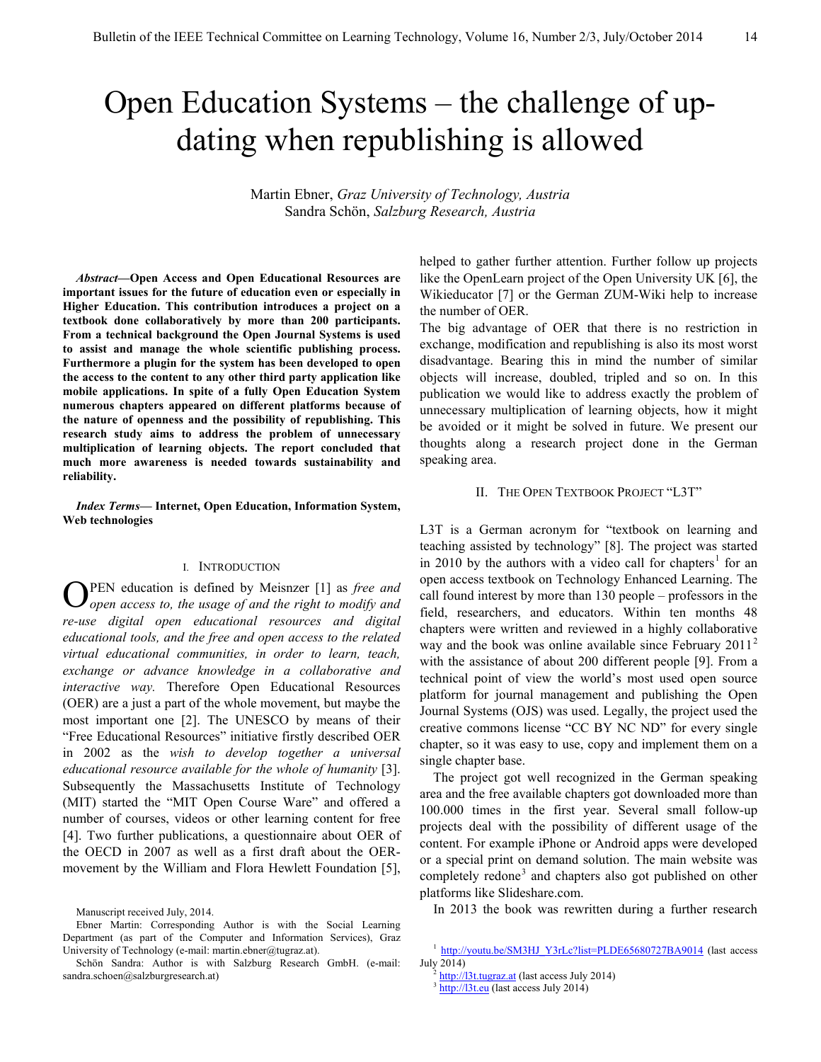# Open Education Systems – the challenge of updating when republishing is allowed

Martin Ebner, *Graz University of Technology, Austria* Sandra Schön, *Salzburg Research, Austria*

*Abstract***—Open Access and Open Educational Resources are important issues for the future of education even or especially in Higher Education. This contribution introduces a project on a textbook done collaboratively by more than 200 participants. From a technical background the Open Journal Systems is used to assist and manage the whole scientific publishing process. Furthermore a plugin for the system has been developed to open the access to the content to any other third party application like mobile applications. In spite of a fully Open Education System numerous chapters appeared on different platforms because of the nature of openness and the possibility of republishing. This research study aims to address the problem of unnecessary multiplication of learning objects. The report concluded that much more awareness is needed towards sustainability and reliability.**

*Index Terms***— Internet, Open Education, Information System, Web technologies**

#### I. INTRODUCTION

PEN education is defined by Meisnzer [1] as *free and open access to, the usage of and the right to modify and re-use digital open educational resources and digital educational tools, and the free and open access to the related virtual educational communities, in order to learn, teach, exchange or advance knowledge in a collaborative and interactive way.* Therefore Open Educational Resources (OER) are a just a part of the whole movement, but maybe the most important one [2]. The UNESCO by means of their "Free Educational Resources" initiative firstly described OER in 2002 as the *wish to develop together a universal educational resource available for the whole of humanity* [3]. Subsequently the Massachusetts Institute of Technology (MIT) started the "MIT Open Course Ware" and offered a number of courses, videos or other learning content for free [4]. Two further publications, a questionnaire about OER of the OECD in 2007 as well as a first draft about the OERmovement by the William and Flora Hewlett Foundation [5], O

helped to gather further attention. Further follow up projects like the OpenLearn project of the Open University UK [6], the Wikieducator [7] or the German ZUM-Wiki help to increase the number of OER.

The big advantage of OER that there is no restriction in exchange, modification and republishing is also its most worst disadvantage. Bearing this in mind the number of similar objects will increase, doubled, tripled and so on. In this publication we would like to address exactly the problem of unnecessary multiplication of learning objects, how it might be avoided or it might be solved in future. We present our thoughts along a research project done in the German speaking area.

#### II. THE OPEN TEXTBOOK PROJECT "L3T"

L3T is a German acronym for "textbook on learning and teaching assisted by technology" [8]. The project was started in 20[1](#page-0-0)0 by the authors with a video call for chapters<sup>1</sup> for an open access textbook on Technology Enhanced Learning. The call found interest by more than 130 people – professors in the field, researchers, and educators. Within ten months 48 chapters were written and reviewed in a highly collaborative way and the book was online available since February  $2011<sup>2</sup>$  $2011<sup>2</sup>$ with the assistance of about 200 different people [9]. From a technical point of view the world's most used open source platform for journal management and publishing the Open Journal Systems (OJS) was used. Legally, the project used the creative commons license "CC BY NC ND" for every single chapter, so it was easy to use, copy and implement them on a single chapter base.

The project got well recognized in the German speaking area and the free available chapters got downloaded more than 100.000 times in the first year. Several small follow-up projects deal with the possibility of different usage of the content. For example iPhone or Android apps were developed or a special print on demand solution. The main website was completely redone<sup>[3](#page-0-2)</sup> and chapters also got published on other platforms like Slideshare.com.

In 2013 the book was rewritten during a further research

Manuscript received July, 2014.

Ebner Martin: Corresponding Author is with the Social Learning Department (as part of the Computer and Information Services), Graz University of Technology (e-mail: martin.ebner@tugraz.at).

<span id="page-0-2"></span><span id="page-0-1"></span><span id="page-0-0"></span>Schön Sandra: Author is with Salzburg Research GmbH. (e-mail: sandra.schoen@salzburgresearch.at)

[http://youtu.be/SM3HJ\\_Y3rLc?list=PLDE65680727BA9014](http://youtu.be/SM3HJ_Y3rLc?list=PLDE65680727BA9014) (last access July 2014)

[http://l3t.tugraz.at](http://l3t.tugraz.at/) (last access July 2014)

<sup>&</sup>lt;sup>3</sup> [http://l3t.eu](http://l3t.eu/) (last access July 2014)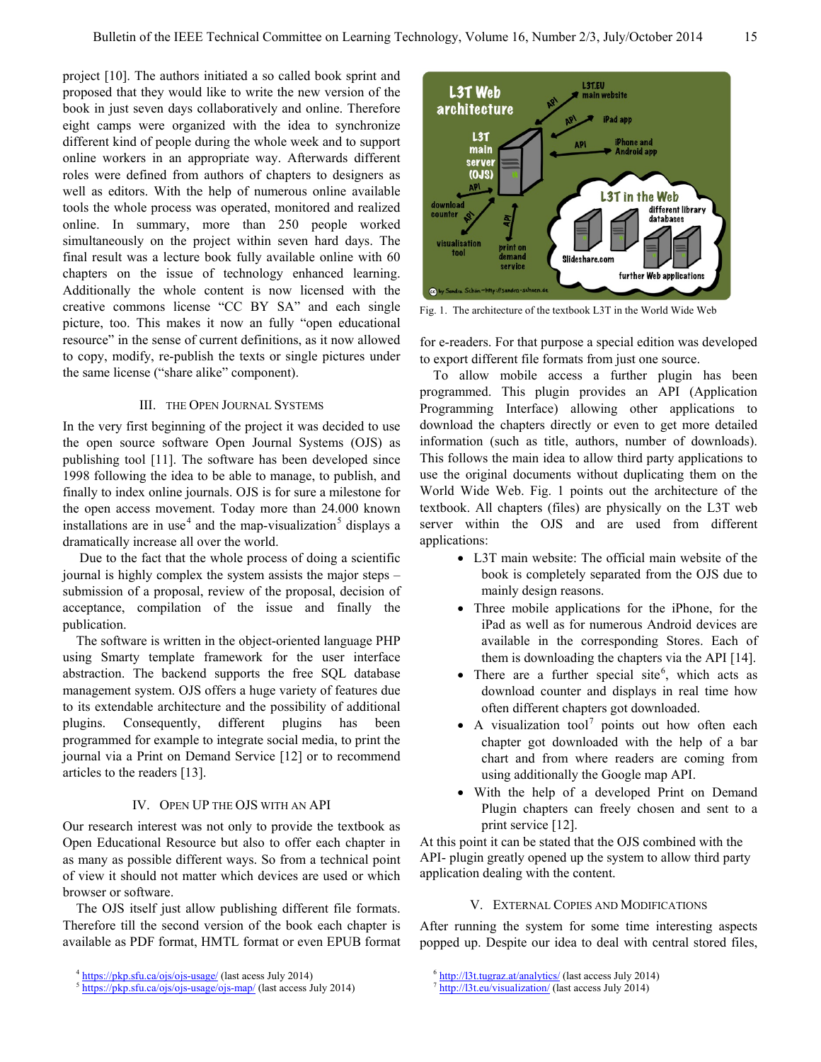project [10]. The authors initiated a so called book sprint and proposed that they would like to write the new version of the book in just seven days collaboratively and online. Therefore eight camps were organized with the idea to synchronize different kind of people during the whole week and to support online workers in an appropriate way. Afterwards different roles were defined from authors of chapters to designers as well as editors. With the help of numerous online available tools the whole process was operated, monitored and realized online. In summary, more than 250 people worked simultaneously on the project within seven hard days. The final result was a lecture book fully available online with 60 chapters on the issue of technology enhanced learning. Additionally the whole content is now licensed with the creative commons license "CC BY SA" and each single picture, too. This makes it now an fully "open educational resource" in the sense of current definitions, as it now allowed to copy, modify, re-publish the texts or single pictures under the same license ("share alike" component).

# III. THE OPEN JOURNAL SYSTEMS

In the very first beginning of the project it was decided to use the open source software Open Journal Systems (OJS) as publishing tool [11]. The software has been developed since 1998 following the idea to be able to manage, to publish, and finally to index online journals. OJS is for sure a milestone for the open access movement. Today more than 24.000 known installations are in use<sup>[4](#page-1-0)</sup> and the map-visualization<sup>[5](#page-1-1)</sup> displays a dramatically increase all over the world.

Due to the fact that the whole process of doing a scientific journal is highly complex the system assists the major steps – submission of a proposal, review of the proposal, decision of acceptance, compilation of the issue and finally the publication.

The software is written in the object-oriented language PHP using Smarty template framework for the user interface abstraction. The backend supports the free SQL database management system. OJS offers a huge variety of features due to its extendable architecture and the possibility of additional plugins. Consequently, different plugins has been programmed for example to integrate social media, to print the journal via a Print on Demand Service [12] or to recommend articles to the readers [13].

### IV. OPEN UP THE OJS WITH AN API

Our research interest was not only to provide the textbook as Open Educational Resource but also to offer each chapter in as many as possible different ways. So from a technical point of view it should not matter which devices are used or which browser or software.

The OJS itself just allow publishing different file formats. Therefore till the second version of the book each chapter is available as PDF format, HMTL format or even EPUB format



Fig. 1. The architecture of the textbook L3T in the World Wide Web

for e-readers. For that purpose a special edition was developed to export different file formats from just one source.

To allow mobile access a further plugin has been programmed. This plugin provides an API (Application Programming Interface) allowing other applications to download the chapters directly or even to get more detailed information (such as title, authors, number of downloads). This follows the main idea to allow third party applications to use the original documents without duplicating them on the World Wide Web. Fig. 1 points out the architecture of the textbook. All chapters (files) are physically on the L3T web server within the OJS and are used from different applications:

- L3T main website: The official main website of the book is completely separated from the OJS due to mainly design reasons.
- Three mobile applications for the iPhone, for the iPad as well as for numerous Android devices are available in the corresponding Stores. Each of them is downloading the chapters via the API [14].
- There are a further special site<sup>[6](#page-1-0)</sup>, which acts as download counter and displays in real time how often different chapters got downloaded.
- A visualization tool<sup>[7](#page-1-1)</sup> points out how often each chapter got downloaded with the help of a bar chart and from where readers are coming from using additionally the Google map API.
- With the help of a developed Print on Demand Plugin chapters can freely chosen and sent to a print service [12].

At this point it can be stated that the OJS combined with the API- plugin greatly opened up the system to allow third party application dealing with the content.

#### V. EXTERNAL COPIES AND MODIFICATIONS

After running the system for some time interesting aspects popped up. Despite our idea to deal with central stored files,

<span id="page-1-0"></span><sup>&</sup>lt;sup>4</sup> <https://pkp.sfu.ca/ojs/ojs-usage/> (last acess July 2014)

<span id="page-1-1"></span><sup>&</sup>lt;sup>5</sup> <https://pkp.sfu.ca/ojs/ojs-usage/ojs-map/> (last access July 2014)

<sup>6</sup> <http://l3t.tugraz.at/analytics/> (last access July 2014)

<sup>7</sup> <http://l3t.eu/visualization/> (last access July 2014)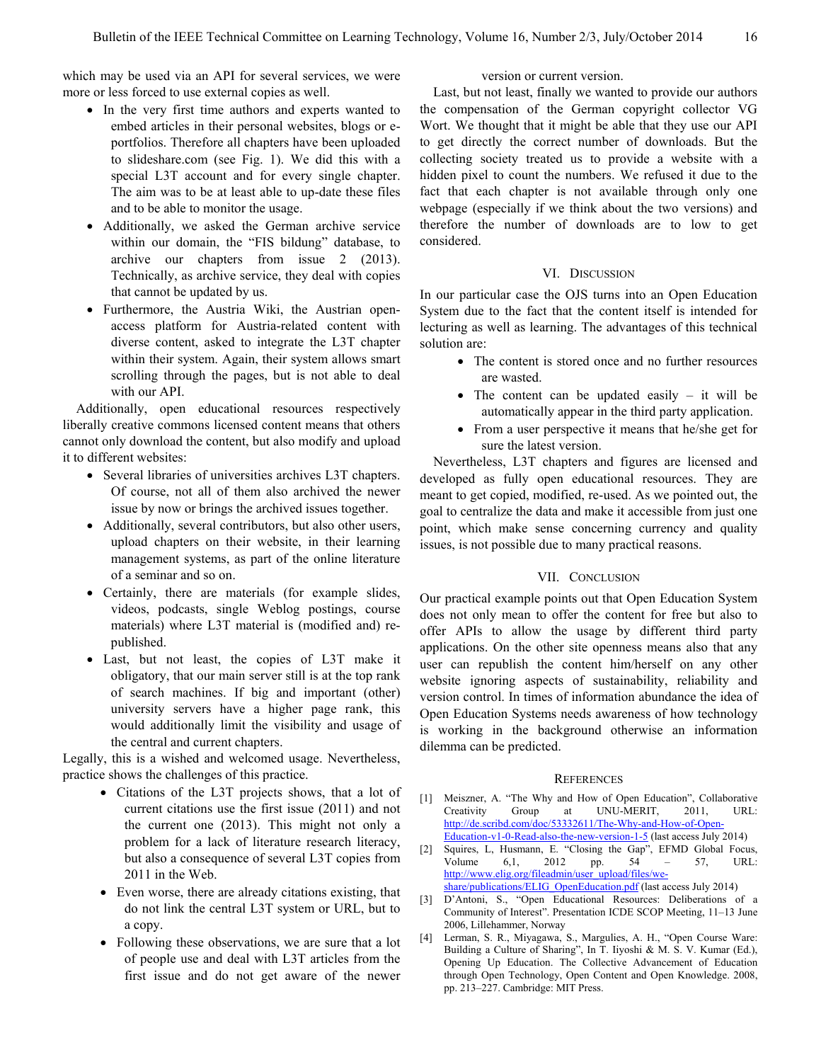which may be used via an API for several services, we were more or less forced to use external copies as well.

- In the very first time authors and experts wanted to embed articles in their personal websites, blogs or eportfolios. Therefore all chapters have been uploaded to slideshare.com (see Fig. 1). We did this with a special L3T account and for every single chapter. The aim was to be at least able to up-date these files and to be able to monitor the usage.
- Additionally, we asked the German archive service within our domain, the "FIS bildung" database, to archive our chapters from issue 2 (2013). Technically, as archive service, they deal with copies that cannot be updated by us.
- Furthermore, the Austria Wiki, the Austrian openaccess platform for Austria-related content with diverse content, asked to integrate the L3T chapter within their system. Again, their system allows smart scrolling through the pages, but is not able to deal with our API.

Additionally, open educational resources respectively liberally creative commons licensed content means that others cannot only download the content, but also modify and upload it to different websites:

- Several libraries of universities archives L3T chapters. Of course, not all of them also archived the newer issue by now or brings the archived issues together.
- Additionally, several contributors, but also other users, upload chapters on their website, in their learning management systems, as part of the online literature of a seminar and so on.
- Certainly, there are materials (for example slides, videos, podcasts, single Weblog postings, course materials) where L3T material is (modified and) republished.
- Last, but not least, the copies of L3T make it obligatory, that our main server still is at the top rank of search machines. If big and important (other) university servers have a higher page rank, this would additionally limit the visibility and usage of the central and current chapters.

Legally, this is a wished and welcomed usage. Nevertheless, practice shows the challenges of this practice.

- Citations of the L3T projects shows, that a lot of current citations use the first issue (2011) and not the current one (2013). This might not only a problem for a lack of literature research literacy, but also a consequence of several L3T copies from 2011 in the Web.
- Even worse, there are already citations existing, that do not link the central L3T system or URL, but to a copy.
- Following these observations, we are sure that a lot of people use and deal with L3T articles from the first issue and do not get aware of the newer

version or current version.

Last, but not least, finally we wanted to provide our authors the compensation of the German copyright collector VG Wort. We thought that it might be able that they use our API to get directly the correct number of downloads. But the collecting society treated us to provide a website with a hidden pixel to count the numbers. We refused it due to the fact that each chapter is not available through only one webpage (especially if we think about the two versions) and therefore the number of downloads are to low to get considered.

# VI. DISCUSSION

In our particular case the OJS turns into an Open Education System due to the fact that the content itself is intended for lecturing as well as learning. The advantages of this technical solution are:

- The content is stored once and no further resources are wasted.
- The content can be updated easily it will be automatically appear in the third party application.
- From a user perspective it means that he/she get for sure the latest version.

Nevertheless, L3T chapters and figures are licensed and developed as fully open educational resources. They are meant to get copied, modified, re-used. As we pointed out, the goal to centralize the data and make it accessible from just one point, which make sense concerning currency and quality issues, is not possible due to many practical reasons.

#### VII. CONCLUSION

Our practical example points out that Open Education System does not only mean to offer the content for free but also to offer APIs to allow the usage by different third party applications. On the other site openness means also that any user can republish the content him/herself on any other website ignoring aspects of sustainability, reliability and version control. In times of information abundance the idea of Open Education Systems needs awareness of how technology is working in the background otherwise an information dilemma can be predicted.

#### **REFERENCES**

- [1] Meiszner, A. "The Why and How of Open Education", Collaborative Creativity Group at UNU-MERIT, 2011, URL: [http://de.scribd.com/doc/53332611/The-Why-and-How-of-Open-](http://de.scribd.com/doc/53332611/The-Why-and-How-of-Open-Education-v1-0-Read-also-the-new-version-1-5)[Education-v1-0-Read-also-the-new-version-1-5](http://de.scribd.com/doc/53332611/The-Why-and-How-of-Open-Education-v1-0-Read-also-the-new-version-1-5) (last access July 2014)
- [2] Squires, L, Husmann, E. "Closing the Gap", EFMD Global Focus, Volume 6,1, 2012 pp. 54 – 57, URL: [http://www.elig.org/fileadmin/user\\_upload/files/we](http://www.elig.org/fileadmin/user_upload/files/we-share/publications/ELIG_OpenEducation.pdf)
	- [share/publications/ELIG\\_OpenEducation.pdf](http://www.elig.org/fileadmin/user_upload/files/we-share/publications/ELIG_OpenEducation.pdf) (last access July 2014)
- [3] D'Antoni, S., "Open Educational Resources: Deliberations of a Community of Interest". Presentation ICDE SCOP Meeting, 11–13 June 2006, Lillehammer, Norway
- [4] Lerman, S. R., Miyagawa, S., Margulies, A. H., "Open Course Ware: Building a Culture of Sharing", In T. Iiyoshi & M. S. V. Kumar (Ed.), Opening Up Education. The Collective Advancement of Education through Open Technology, Open Content and Open Knowledge. 2008, pp. 213–227. Cambridge: MIT Press.